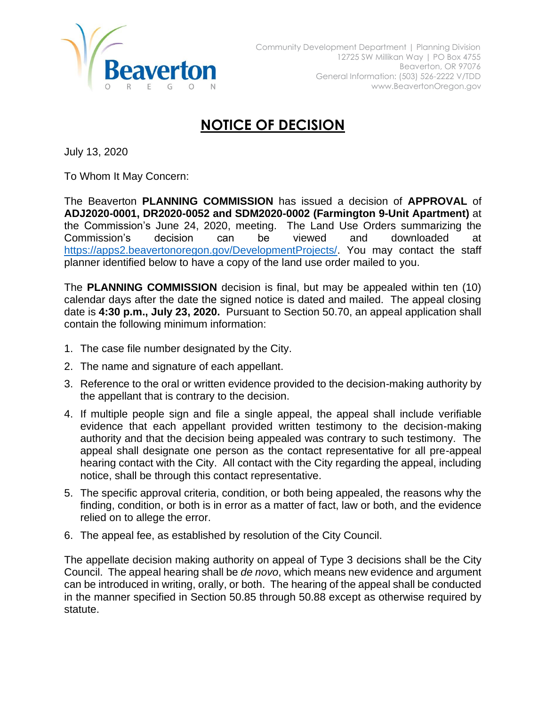

## **NOTICE OF DECISION**

July 13, 2020

To Whom It May Concern:

The Beaverton **PLANNING COMMISSION** has issued a decision of **APPROVAL** of **ADJ2020-0001, DR2020-0052 and SDM2020-0002 (Farmington 9-Unit Apartment)** at the Commission's June 24, 2020, meeting. The Land Use Orders summarizing the Commission's decision can be viewed and downloaded at [https://apps2.beavertonoregon.gov/DevelopmentProjects/.](https://apps2.beavertonoregon.gov/DevelopmentProjects/) You may contact the staff planner identified below to have a copy of the land use order mailed to you.

The **PLANNING COMMISSION** decision is final, but may be appealed within ten (10) calendar days after the date the signed notice is dated and mailed. The appeal closing date is **4:30 p.m., July 23, 2020.** Pursuant to Section 50.70, an appeal application shall contain the following minimum information:

- 1. The case file number designated by the City.
- 2. The name and signature of each appellant.
- 3. Reference to the oral or written evidence provided to the decision-making authority by the appellant that is contrary to the decision.
- 4. If multiple people sign and file a single appeal, the appeal shall include verifiable evidence that each appellant provided written testimony to the decision-making authority and that the decision being appealed was contrary to such testimony. The appeal shall designate one person as the contact representative for all pre-appeal hearing contact with the City. All contact with the City regarding the appeal, including notice, shall be through this contact representative.
- 5. The specific approval criteria, condition, or both being appealed, the reasons why the finding, condition, or both is in error as a matter of fact, law or both, and the evidence relied on to allege the error.
- 6. The appeal fee, as established by resolution of the City Council.

The appellate decision making authority on appeal of Type 3 decisions shall be the City Council. The appeal hearing shall be *de novo*, which means new evidence and argument can be introduced in writing, orally, or both. The hearing of the appeal shall be conducted in the manner specified in Section 50.85 through 50.88 except as otherwise required by statute.